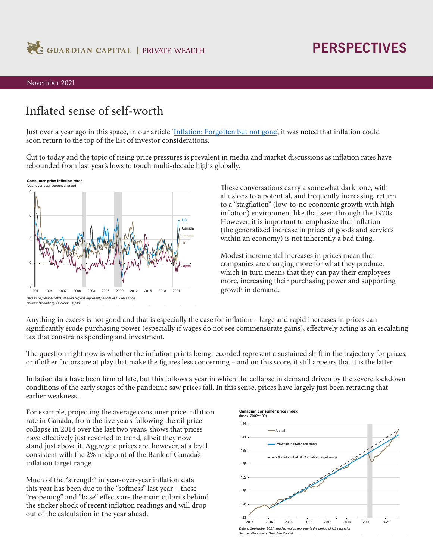

## **PERSPECTIVES**

#### November 2021

### Inflated sense of self-worth

Just over a year ago in this space, in our article '[Inflation: Forgotten but not gone',](https://www.guardiancapital.com/media/61935/guardian_perspectives_sept2020.pdf) it was noted that inflation could soon return to the top of the list of investor considerations.

Cut to today and the topic of rising price pressures is prevalent in media and market discussions as inflation rates have rebounded from last year's lows to touch multi-decade highs globally.



These conversations carry a somewhat dark tone, with allusions to a potential, and frequently increasing, return to a "stagflation" (low-to-no economic growth with high inflation) environment like that seen through the 1970s. However, it is important to emphasize that inflation (the generalized increase in prices of goods and services within an economy) is not inherently a bad thing.

Modest incremental increases in prices mean that companies are charging more for what they produce, which in turn means that they can pay their employees more, increasing their purchasing power and supporting growth in demand.

Anything in excess is not good and that is especially the case for inflation – large and rapid increases in prices can significantly erode purchasing power (especially if wages do not see commensurate gains), effectively acting as an escalating tax that constrains spending and investment.

The question right now is whether the inflation prints being recorded represent a sustained shift in the trajectory for prices, or if other factors are at play that make the figures less concerning – and on this score, it still appears that it is the latter.

Inflation data have been firm of late, but this follows a year in which the collapse in demand driven by the severe lockdown conditions of the early stages of the pandemic saw prices fall. In this sense, prices have largely just been retracing that earlier weakness.

For example, projecting the average consumer price inflation rate in Canada, from the five years following the oil price collapse in 2014 over the last two years, shows that prices have effectively just reverted to trend, albeit they now stand just above it. Aggregate prices are, however, at a level consistent with the 2% midpoint of the Bank of Canada's inflation target range.

Much of the "strength" in year-over-year inflation data this year has been due to the "softness" last year – these "reopening" and "base" effects are the main culprits behind the sticker shock of recent inflation readings and will drop out of the calculation in the year ahead.